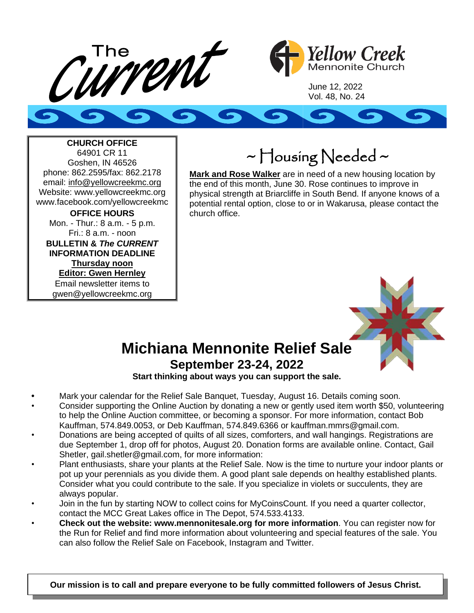



June 12, 2022 Vol. 48, No. 24



**CHURCH OFFICE** 64901 CR 11 Goshen, IN 46526 phone: 862.2595/fax: 862.2178 email: info@yellowcreekmc.org Website: www.yellowcreekmc.org www.facebook.com/yellowcreekmc **OFFICE HOURS** Mon. - Thur.: 8 a.m. - 5 p.m. Fri.: 8 a.m. - noon **BULLETIN &** *The CURRENT* **INFORMATION DEADLINE Thursday noon Editor: Gwen Hernley** Email newsletter items to gwen@yellowcreekmc.org

~ Housing Needed ~

**Mark and Rose Walker** are in need of a new housing location by the end of this month, June 30. Rose continues to improve in physical strength at Briarcliffe in South Bend. If anyone knows of a potential rental option, close to or in Wakarusa, please contact the church office.



## **Michiana Mennonite Relief Sale September 23-24, 2022**

**Start thinking about ways you can support the sale.**

- **•** Mark your calendar for the Relief Sale Banquet, Tuesday, August 16. Details coming soon.
- Consider supporting the Online Auction by donating a new or gently used item worth \$50, volunteering to help the Online Auction committee, or becoming a sponsor. For more information, contact Bob Kauffman, 574.849.0053, or Deb Kauffman, 574.849.6366 or kauffman.mmrs@gmail.com.
- Donations are being accepted of quilts of all sizes, comforters, and wall hangings. Registrations are due September 1, drop off for photos, August 20. Donation forms are available online. Contact, Gail Shetler, gail.shetler@gmail.com, for more information:
- Plant enthusiasts, share your plants at the Relief Sale. Now is the time to nurture your indoor plants or pot up your perennials as you divide them. A good plant sale depends on healthy established plants. Consider what you could contribute to the sale. If you specialize in violets or succulents, they are always popular.
- Join in the fun by starting NOW to collect coins for MyCoinsCount. If you need a quarter collector, contact the MCC Great Lakes office in The Depot, 574.533.4133.
- **Check out the website: www.mennonitesale.org for more information**. You can register now for the Run for Relief and find more information about volunteering and special features of the sale. You can also follow the Relief Sale on Facebook, Instagram and Twitter.

**Our mission is to call and prepare everyone to be fully committed followers of Jesus Christ.**